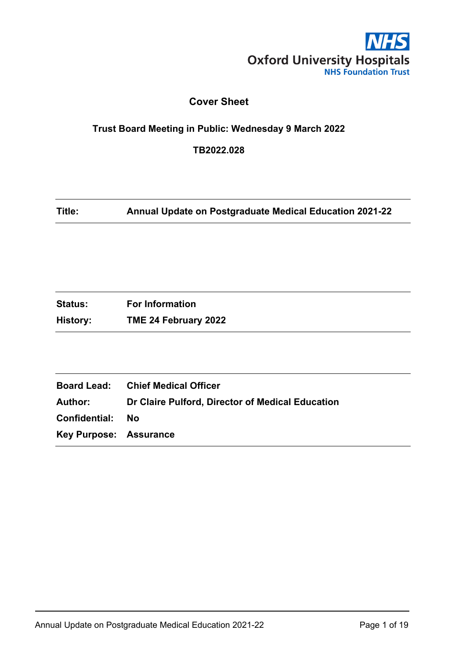

## **Cover Sheet**

#### <span id="page-0-0"></span>**Trust Board Meeting in Public: Wednesday 9 March 2022**

**TB2022.028**

**Title: Annual Update on Postgraduate Medical Education 2021-22**

| <b>Status:</b><br><b>For Information</b> |                      |
|------------------------------------------|----------------------|
| History:                                 | TME 24 February 2022 |

|                               | <b>Board Lead:</b> Chief Medical Officer                        |
|-------------------------------|-----------------------------------------------------------------|
|                               | <b>Author: Dr Claire Pulford, Director of Medical Education</b> |
| <b>Confidential: No</b>       |                                                                 |
| <b>Key Purpose: Assurance</b> |                                                                 |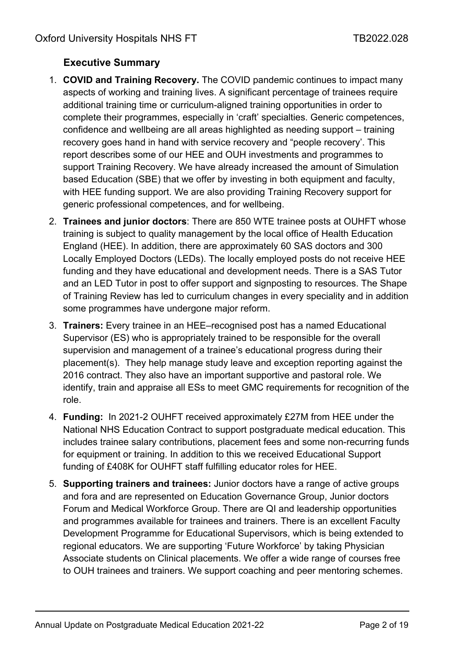# <span id="page-1-0"></span>**Executive Summary**

- 1. **COVID and Training Recovery.** The COVID pandemic continues to impact many aspects of working and training lives. A significant percentage of trainees require additional training time or curriculum-aligned training opportunities in order to complete their programmes, especially in 'craft' specialties. Generic competences, confidence and wellbeing are all areas highlighted as needing support – training recovery goes hand in hand with service recovery and "people recovery'. This report describes some of our HEE and OUH investments and programmes to support Training Recovery. We have already increased the amount of Simulation based Education (SBE) that we offer by investing in both equipment and faculty, with HEE funding support. We are also providing Training Recovery support for generic professional competences, and for wellbeing.
- 2. **Trainees and junior doctors**: There are 850 WTE trainee posts at OUHFT whose training is subject to quality management by the local office of Health Education England (HEE). In addition, there are approximately 60 SAS doctors and 300 Locally Employed Doctors (LEDs). The locally employed posts do not receive HEE funding and they have educational and development needs. There is a SAS Tutor and an LED Tutor in post to offer support and signposting to resources. The Shape of Training Review has led to curriculum changes in every speciality and in addition some programmes have undergone major reform.
- 3. **Trainers:** Every trainee in an HEE–recognised post has a named Educational Supervisor (ES) who is appropriately trained to be responsible for the overall supervision and management of a trainee's educational progress during their placement(s). They help manage study leave and exception reporting against the 2016 contract. They also have an important supportive and pastoral role. We identify, train and appraise all ESs to meet GMC requirements for recognition of the role.
- 4. **Funding:** In 2021-2 OUHFT received approximately £27M from HEE under the National NHS Education Contract to support postgraduate medical education. This includes trainee salary contributions, placement fees and some non-recurring funds for equipment or training. In addition to this we received Educational Support funding of £408K for OUHFT staff fulfilling educator roles for HEE.
- 5. **Supporting trainers and trainees:** Junior doctors have a range of active groups and fora and are represented on Education Governance Group, Junior doctors Forum and Medical Workforce Group. There are QI and leadership opportunities and programmes available for trainees and trainers. There is an excellent Faculty Development Programme for Educational Supervisors, which is being extended to regional educators. We are supporting 'Future Workforce' by taking Physician Associate students on Clinical placements. We offer a wide range of courses free to OUH trainees and trainers. We support coaching and peer mentoring schemes.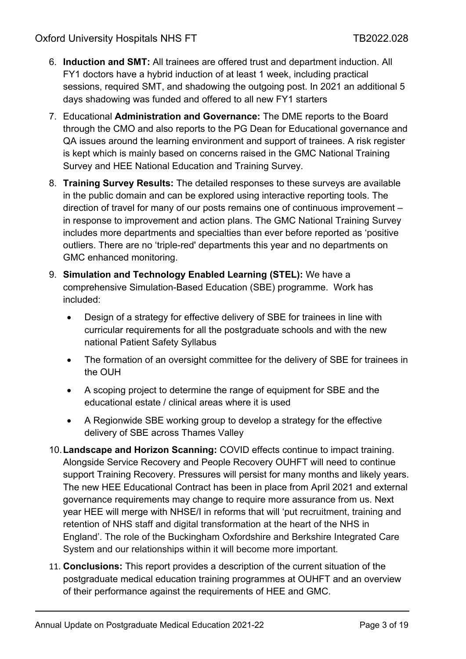- 6. **Induction and SMT:** All trainees are offered trust and department induction. All FY1 doctors have a hybrid induction of at least 1 week, including practical sessions, required SMT, and shadowing the outgoing post. In 2021 an additional 5 days shadowing was funded and offered to all new FY1 starters
- 7. Educational **Administration and Governance:** The DME reports to the Board through the CMO and also reports to the PG Dean for Educational governance and QA issues around the learning environment and support of trainees. A risk register is kept which is mainly based on concerns raised in the GMC National Training Survey and HEE National Education and Training Survey.
- 8. **Training Survey Results:** The detailed responses to these surveys are available in the public domain and can be explored using interactive reporting tools. The direction of travel for many of our posts remains one of continuous improvement – in response to improvement and action plans. The GMC National Training Survey includes more departments and specialties than ever before reported as 'positive outliers. There are no 'triple-red' departments this year and no departments on GMC enhanced monitoring.
- 9. **Simulation and Technology Enabled Learning (STEL):** We have a comprehensive Simulation-Based Education (SBE) programme. Work has included:
	- Design of a strategy for effective delivery of SBE for trainees in line with curricular requirements for all the postgraduate schools and with the new national Patient Safety Syllabus
	- The formation of an oversight committee for the delivery of SBE for trainees in the OUH
	- A scoping project to determine the range of equipment for SBE and the educational estate / clinical areas where it is used
	- A Regionwide SBE working group to develop a strategy for the effective delivery of SBE across Thames Valley
- 10.**Landscape and Horizon Scanning:** COVID effects continue to impact training. Alongside Service Recovery and People Recovery OUHFT will need to continue support Training Recovery. Pressures will persist for many months and likely years. The new HEE Educational Contract has been in place from April 2021 and external governance requirements may change to require more assurance from us. Next year HEE will merge with NHSE/I in reforms that will 'put recruitment, training and retention of NHS staff and digital transformation at the heart of the NHS in England'. The role of the Buckingham Oxfordshire and Berkshire Integrated Care System and our relationships within it will become more important.
- 11. **Conclusions:** This report provides a description of the current situation of the postgraduate medical education training programmes at OUHFT and an overview of their performance against the requirements of HEE and GMC.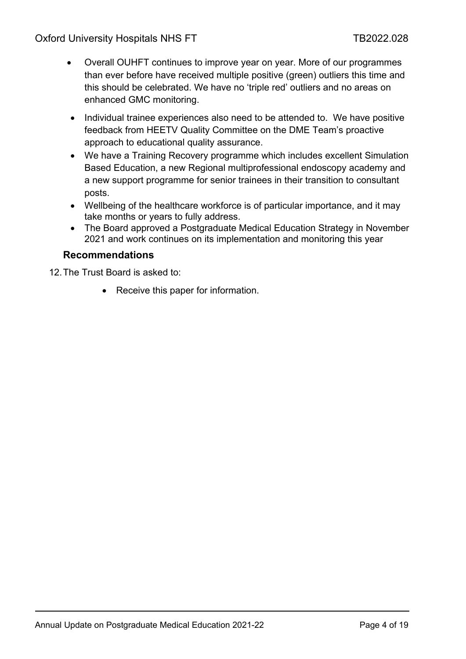Oxford University Hospitals NHS FT THE TB2022.028

- Overall OUHFT continues to improve year on year. More of our programmes than ever before have received multiple positive (green) outliers this time and this should be celebrated. We have no 'triple red' outliers and no areas on enhanced GMC monitoring.
- Individual trainee experiences also need to be attended to. We have positive feedback from HEETV Quality Committee on the DME Team's proactive approach to educational quality assurance.
- We have a Training Recovery programme which includes excellent Simulation Based Education, a new Regional multiprofessional endoscopy academy and a new support programme for senior trainees in their transition to consultant posts.
- Wellbeing of the healthcare workforce is of particular importance, and it may take months or years to fully address.
- The Board approved a Postgraduate Medical Education Strategy in November 2021 and work continues on its implementation and monitoring this year

#### **Recommendations**

12.The Trust Board is asked to:

• Receive this paper for information.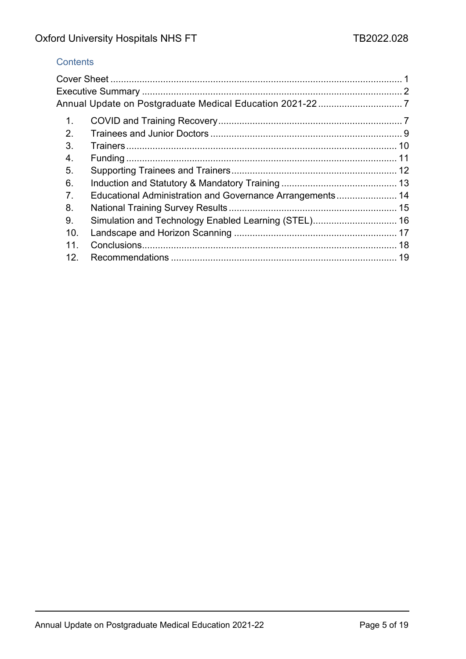## **Contents**

| 1 <sub>1</sub> |                                                           |  |
|----------------|-----------------------------------------------------------|--|
| 2.             |                                                           |  |
| 3.             |                                                           |  |
| 4.             |                                                           |  |
| 5.             |                                                           |  |
| 6.             |                                                           |  |
| 7 <sub>1</sub> | Educational Administration and Governance Arrangements 14 |  |
| 8.             |                                                           |  |
| 9.             |                                                           |  |
| 10.            |                                                           |  |
| 11.            |                                                           |  |
| 12.            |                                                           |  |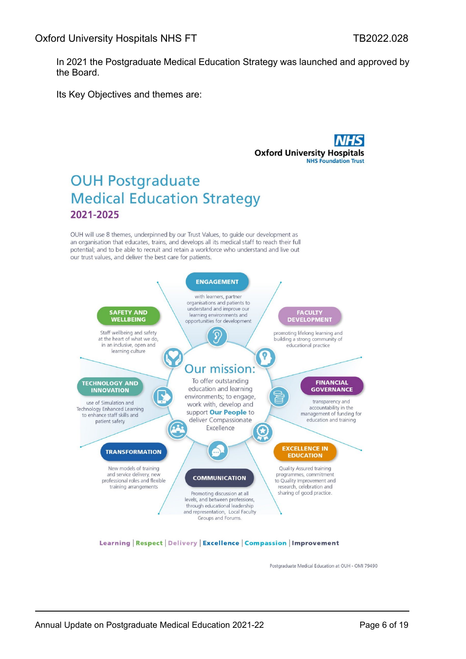In 2021 the Postgraduate Medical Education Strategy was launched and approved by the Board.

Its Key Objectives and themes are:

**Oxford University Hospitals NHS Foundation Trust** 

# **OUH Postgraduate Medical Education Strategy** 2021-2025

OUH will use 8 themes, underpinned by our Trust Values, to guide our development as an organisation that educates, trains, and develops all its medical staff to reach their full potential; and to be able to recruit and retain a workforce who understand and live out our trust values, and deliver the best care for patients.



Learning | Respect | Delivery | Excellence | Compassion | Improvement

Postgraduate Medical Education at OUH - OMI 79490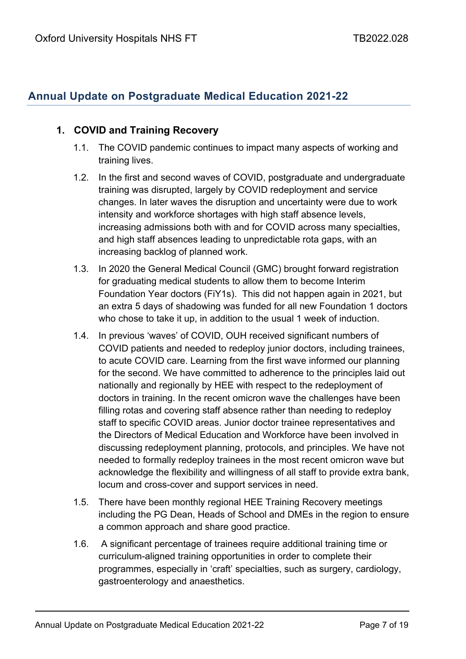## <span id="page-6-0"></span>**Annual Update on Postgraduate Medical Education 2021-22**

#### <span id="page-6-1"></span>**1. COVID and Training Recovery**

- 1.1. The COVID pandemic continues to impact many aspects of working and training lives.
- 1.2. In the first and second waves of COVID, postgraduate and undergraduate training was disrupted, largely by COVID redeployment and service changes. In later waves the disruption and uncertainty were due to work intensity and workforce shortages with high staff absence levels, increasing admissions both with and for COVID across many specialties, and high staff absences leading to unpredictable rota gaps, with an increasing backlog of planned work.
- 1.3. In 2020 the General Medical Council (GMC) brought forward registration for graduating medical students to allow them to become Interim Foundation Year doctors (FiY1s). This did not happen again in 2021, but an extra 5 days of shadowing was funded for all new Foundation 1 doctors who chose to take it up, in addition to the usual 1 week of induction.
- 1.4. In previous 'waves' of COVID, OUH received significant numbers of COVID patients and needed to redeploy junior doctors, including trainees, to acute COVID care. Learning from the first wave informed our planning for the second. We have committed to adherence to the principles laid out nationally and regionally by HEE with respect to the redeployment of doctors in training. In the recent omicron wave the challenges have been filling rotas and covering staff absence rather than needing to redeploy staff to specific COVID areas. Junior doctor trainee representatives and the Directors of Medical Education and Workforce have been involved in discussing redeployment planning, protocols, and principles. We have not needed to formally redeploy trainees in the most recent omicron wave but acknowledge the flexibility and willingness of all staff to provide extra bank, locum and cross-cover and support services in need.
- 1.5. There have been monthly regional HEE Training Recovery meetings including the PG Dean, Heads of School and DMEs in the region to ensure a common approach and share good practice.
- 1.6. A significant percentage of trainees require additional training time or curriculum-aligned training opportunities in order to complete their programmes, especially in 'craft' specialties, such as surgery, cardiology, gastroenterology and anaesthetics.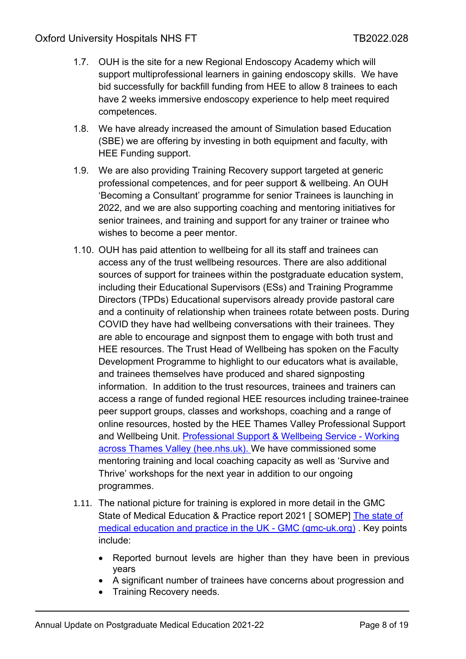- 1.7. OUH is the site for a new Regional Endoscopy Academy which will support multiprofessional learners in gaining endoscopy skills. We have bid successfully for backfill funding from HEE to allow 8 trainees to each have 2 weeks immersive endoscopy experience to help meet required competences.
- 1.8. We have already increased the amount of Simulation based Education (SBE) we are offering by investing in both equipment and faculty, with HEE Funding support.
- 1.9. We are also providing Training Recovery support targeted at generic professional competences, and for peer support & wellbeing. An OUH 'Becoming a Consultant' programme for senior Trainees is launching in 2022, and we are also supporting coaching and mentoring initiatives for senior trainees, and training and support for any trainer or trainee who wishes to become a peer mentor.
- 1.10. OUH has paid attention to wellbeing for all its staff and trainees can access any of the trust wellbeing resources. There are also additional sources of support for trainees within the postgraduate education system, including their Educational Supervisors (ESs) and Training Programme Directors (TPDs) Educational supervisors already provide pastoral care and a continuity of relationship when trainees rotate between posts. During COVID they have had wellbeing conversations with their trainees. They are able to encourage and signpost them to engage with both trust and HEE resources. The Trust Head of Wellbeing has spoken on the Faculty Development Programme to highlight to our educators what is available, and trainees themselves have produced and shared signposting information. In addition to the trust resources, trainees and trainers can access a range of funded regional HEE resources including trainee-trainee peer support groups, classes and workshops, coaching and a range of online resources, hosted by the HEE Thames Valley Professional Support and Wellbeing Unit. [Professional Support & Wellbeing Service -](https://thamesvalley.hee.nhs.uk/resources-information/professional-support-wellbeing/) Working [across Thames Valley \(hee.nhs.uk\).](https://thamesvalley.hee.nhs.uk/resources-information/professional-support-wellbeing/) We have commissioned some mentoring training and local coaching capacity as well as 'Survive and Thrive' workshops for the next year in addition to our ongoing programmes.
- 1.11. The national picture for training is explored in more detail in the GMC State of Medical Education & Practice report 2021 [ SOMEP] [The state of](https://www.gmc-uk.org/about/what-we-do-and-why/data-and-research/the-state-of-medical-education-and-practice-in-the-uk)  [medical education and practice in the UK -](https://www.gmc-uk.org/about/what-we-do-and-why/data-and-research/the-state-of-medical-education-and-practice-in-the-uk) GMC (gmc-uk.org) . Key points include:
	- Reported burnout levels are higher than they have been in previous years
	- A significant number of trainees have concerns about progression and
	- Training Recovery needs.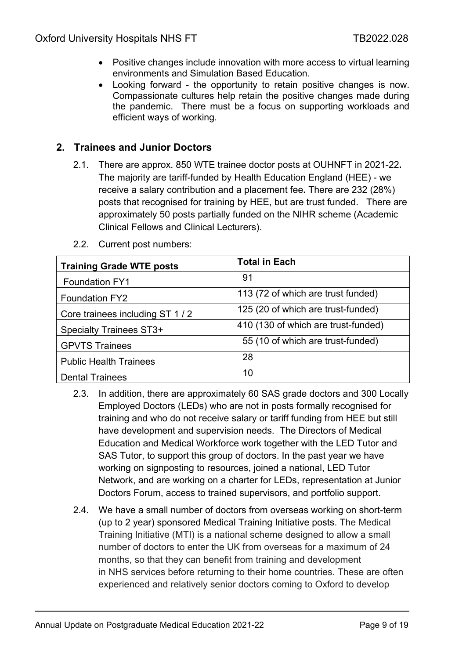- Positive changes include innovation with more access to virtual learning environments and Simulation Based Education.
- Looking forward the opportunity to retain positive changes is now. Compassionate cultures help retain the positive changes made during the pandemic. There must be a focus on supporting workloads and efficient ways of working.

#### <span id="page-8-0"></span>**2. Trainees and Junior Doctors**

2.1. There are approx. 850 WTE trainee doctor posts at OUHNFT in 2021-22**.**  The majority are tariff-funded by Health Education England (HEE) - we receive a salary contribution and a placement fee**.** There are 232 (28%) posts that recognised for training by HEE, but are trust funded. There are approximately 50 posts partially funded on the NIHR scheme (Academic Clinical Fellows and Clinical Lecturers).

| <b>Training Grade WTE posts</b> | <b>Total in Each</b>                |
|---------------------------------|-------------------------------------|
| <b>Foundation FY1</b>           | 91                                  |
| <b>Foundation FY2</b>           | 113 (72 of which are trust funded)  |
| Core trainees including ST 1/2  | 125 (20 of which are trust-funded)  |
| <b>Specialty Trainees ST3+</b>  | 410 (130 of which are trust-funded) |
| <b>GPVTS Trainees</b>           | 55 (10 of which are trust-funded)   |
| <b>Public Health Trainees</b>   | 28                                  |
| <b>Dental Trainees</b>          | 10                                  |

2.2. Current post numbers:

- 2.3. In addition, there are approximately 60 SAS grade doctors and 300 Locally Employed Doctors (LEDs) who are not in posts formally recognised for training and who do not receive salary or tariff funding from HEE but still have development and supervision needs. The Directors of Medical Education and Medical Workforce work together with the LED Tutor and SAS Tutor, to support this group of doctors. In the past year we have working on signposting to resources, joined a national, LED Tutor Network, and are working on a charter for LEDs, representation at Junior Doctors Forum, access to trained supervisors, and portfolio support.
- 2.4. We have a small number of doctors from overseas working on short-term (up to 2 year) sponsored Medical Training Initiative posts. The Medical Training Initiative (MTI) is a national scheme designed to allow a small number of doctors to enter the UK from overseas for a maximum of 24 months, so that they can benefit from training and development in NHS services before returning to their home countries. These are often experienced and relatively senior doctors coming to Oxford to develop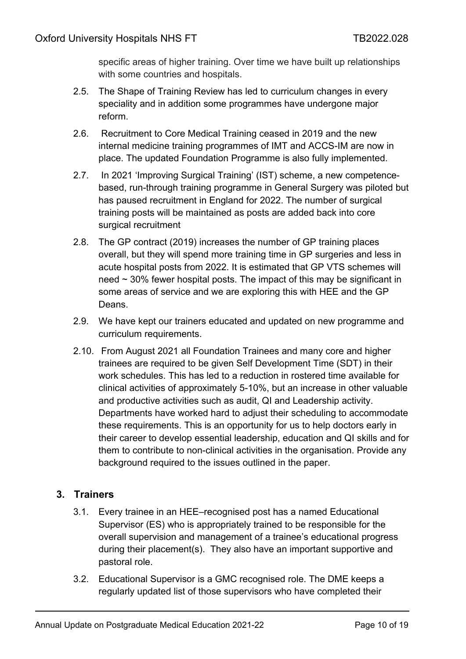specific areas of higher training. Over time we have built up relationships with some countries and hospitals.

- 2.5. The Shape of Training Review has led to curriculum changes in every speciality and in addition some programmes have undergone major reform.
- 2.6. Recruitment to Core Medical Training ceased in 2019 and the new internal medicine training programmes of IMT and ACCS-IM are now in place. The updated Foundation Programme is also fully implemented.
- 2.7. In 2021 'Improving Surgical Training' (IST) scheme, a new competencebased, run-through training programme in General Surgery was piloted but has paused recruitment in England for 2022. The number of surgical training posts will be maintained as posts are added back into core surgical recruitment
- 2.8. The GP contract (2019) increases the number of GP training places overall, but they will spend more training time in GP surgeries and less in acute hospital posts from 2022. It is estimated that GP VTS schemes will need  $\sim$  30% fewer hospital posts. The impact of this may be significant in some areas of service and we are exploring this with HEE and the GP Deans.
- 2.9. We have kept our trainers educated and updated on new programme and curriculum requirements.
- 2.10. From August 2021 all Foundation Trainees and many core and higher trainees are required to be given Self Development Time (SDT) in their work schedules. This has led to a reduction in rostered time available for clinical activities of approximately 5-10%, but an increase in other valuable and productive activities such as audit, QI and Leadership activity. Departments have worked hard to adjust their scheduling to accommodate these requirements. This is an opportunity for us to help doctors early in their career to develop essential leadership, education and QI skills and for them to contribute to non-clinical activities in the organisation. Provide any background required to the issues outlined in the paper.

## <span id="page-9-0"></span>**3. Trainers**

- 3.1. Every trainee in an HEE–recognised post has a named Educational Supervisor (ES) who is appropriately trained to be responsible for the overall supervision and management of a trainee's educational progress during their placement(s). They also have an important supportive and pastoral role.
- 3.2. Educational Supervisor is a GMC recognised role. The DME keeps a regularly updated list of those supervisors who have completed their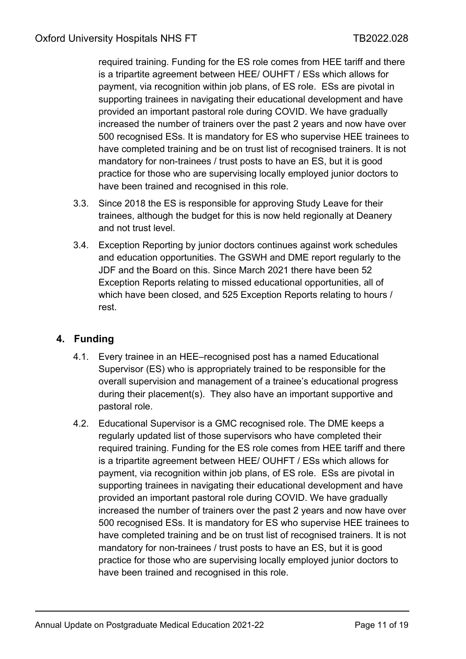required training. Funding for the ES role comes from HEE tariff and there is a tripartite agreement between HEE/ OUHFT / ESs which allows for payment, via recognition within job plans, of ES role. ESs are pivotal in supporting trainees in navigating their educational development and have provided an important pastoral role during COVID. We have gradually increased the number of trainers over the past 2 years and now have over 500 recognised ESs. It is mandatory for ES who supervise HEE trainees to have completed training and be on trust list of recognised trainers. It is not mandatory for non-trainees / trust posts to have an ES, but it is good practice for those who are supervising locally employed junior doctors to have been trained and recognised in this role.

- 3.3. Since 2018 the ES is responsible for approving Study Leave for their trainees, although the budget for this is now held regionally at Deanery and not trust level.
- 3.4. Exception Reporting by junior doctors continues against work schedules and education opportunities. The GSWH and DME report regularly to the JDF and the Board on this. Since March 2021 there have been 52 Exception Reports relating to missed educational opportunities, all of which have been closed, and 525 Exception Reports relating to hours / rest.

## <span id="page-10-0"></span>**4. Funding**

- 4.1. Every trainee in an HEE–recognised post has a named Educational Supervisor (ES) who is appropriately trained to be responsible for the overall supervision and management of a trainee's educational progress during their placement(s). They also have an important supportive and pastoral role.
- 4.2. Educational Supervisor is a GMC recognised role. The DME keeps a regularly updated list of those supervisors who have completed their required training. Funding for the ES role comes from HEE tariff and there is a tripartite agreement between HEE/ OUHFT / ESs which allows for payment, via recognition within job plans, of ES role. ESs are pivotal in supporting trainees in navigating their educational development and have provided an important pastoral role during COVID. We have gradually increased the number of trainers over the past 2 years and now have over 500 recognised ESs. It is mandatory for ES who supervise HEE trainees to have completed training and be on trust list of recognised trainers. It is not mandatory for non-trainees / trust posts to have an ES, but it is good practice for those who are supervising locally employed junior doctors to have been trained and recognised in this role.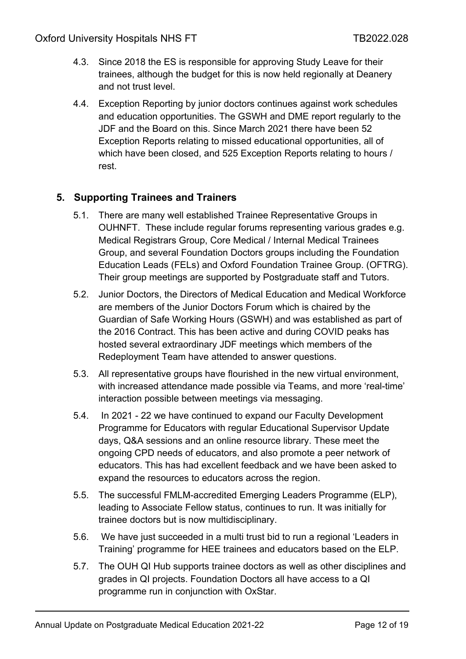- 4.3. Since 2018 the ES is responsible for approving Study Leave for their trainees, although the budget for this is now held regionally at Deanery and not trust level.
- 4.4. Exception Reporting by junior doctors continues against work schedules and education opportunities. The GSWH and DME report regularly to the JDF and the Board on this. Since March 2021 there have been 52 Exception Reports relating to missed educational opportunities, all of which have been closed, and 525 Exception Reports relating to hours / rest.

## <span id="page-11-0"></span>**5. Supporting Trainees and Trainers**

- 5.1. There are many well established Trainee Representative Groups in OUHNFT. These include regular forums representing various grades e.g. Medical Registrars Group, Core Medical / Internal Medical Trainees Group, and several Foundation Doctors groups including the Foundation Education Leads (FELs) and Oxford Foundation Trainee Group. (OFTRG). Their group meetings are supported by Postgraduate staff and Tutors.
- 5.2. Junior Doctors, the Directors of Medical Education and Medical Workforce are members of the Junior Doctors Forum which is chaired by the Guardian of Safe Working Hours (GSWH) and was established as part of the 2016 Contract. This has been active and during COVID peaks has hosted several extraordinary JDF meetings which members of the Redeployment Team have attended to answer questions.
- 5.3. All representative groups have flourished in the new virtual environment, with increased attendance made possible via Teams, and more 'real-time' interaction possible between meetings via messaging.
- 5.4. In 2021 22 we have continued to expand our Faculty Development Programme for Educators with regular Educational Supervisor Update days, Q&A sessions and an online resource library. These meet the ongoing CPD needs of educators, and also promote a peer network of educators. This has had excellent feedback and we have been asked to expand the resources to educators across the region.
- 5.5. The successful FMLM-accredited Emerging Leaders Programme (ELP), leading to Associate Fellow status, continues to run. It was initially for trainee doctors but is now multidisciplinary.
- 5.6. We have just succeeded in a multi trust bid to run a regional 'Leaders in Training' programme for HEE trainees and educators based on the ELP.
- 5.7. The OUH QI Hub supports trainee doctors as well as other disciplines and grades in QI projects. Foundation Doctors all have access to a QI programme run in conjunction with OxStar.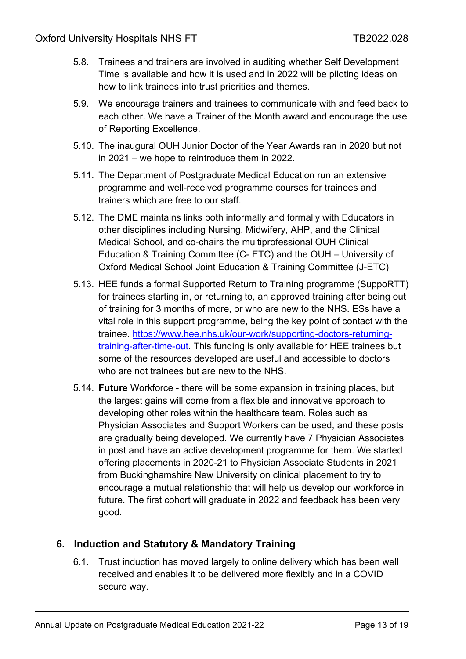- 5.8. Trainees and trainers are involved in auditing whether Self Development Time is available and how it is used and in 2022 will be piloting ideas on how to link trainees into trust priorities and themes.
- 5.9. We encourage trainers and trainees to communicate with and feed back to each other. We have a Trainer of the Month award and encourage the use of Reporting Excellence.
- 5.10. The inaugural OUH Junior Doctor of the Year Awards ran in 2020 but not in 2021 – we hope to reintroduce them in 2022.
- 5.11. The Department of Postgraduate Medical Education run an extensive programme and well-received programme courses for trainees and trainers which are free to our staff.
- 5.12. The DME maintains links both informally and formally with Educators in other disciplines including Nursing, Midwifery, AHP, and the Clinical Medical School, and co-chairs the multiprofessional OUH Clinical Education & Training Committee (C- ETC) and the OUH – University of Oxford Medical School Joint Education & Training Committee (J-ETC)
- 5.13. HEE funds a formal Supported Return to Training programme (SuppoRTT) for trainees starting in, or returning to, an approved training after being out of training for 3 months of more, or who are new to the NHS. ESs have a vital role in this support programme, being the key point of contact with the trainee. [https://www.hee.nhs.uk/our-work/supporting-doctors-returning](https://www.hee.nhs.uk/our-work/supporting-doctors-returning-training-after-time-out)[training-after-time-out.](https://www.hee.nhs.uk/our-work/supporting-doctors-returning-training-after-time-out) This funding is only available for HEE trainees but some of the resources developed are useful and accessible to doctors who are not trainees but are new to the NHS.
- 5.14. **Future** Workforce there will be some expansion in training places, but the largest gains will come from a flexible and innovative approach to developing other roles within the healthcare team. Roles such as Physician Associates and Support Workers can be used, and these posts are gradually being developed. We currently have 7 Physician Associates in post and have an active development programme for them. We started offering placements in 2020-21 to Physician Associate Students in 2021 from Buckinghamshire New University on clinical placement to try to encourage a mutual relationship that will help us develop our workforce in future. The first cohort will graduate in 2022 and feedback has been very good.

## <span id="page-12-0"></span>**6. Induction and Statutory & Mandatory Training**

6.1. Trust induction has moved largely to online delivery which has been well received and enables it to be delivered more flexibly and in a COVID secure way.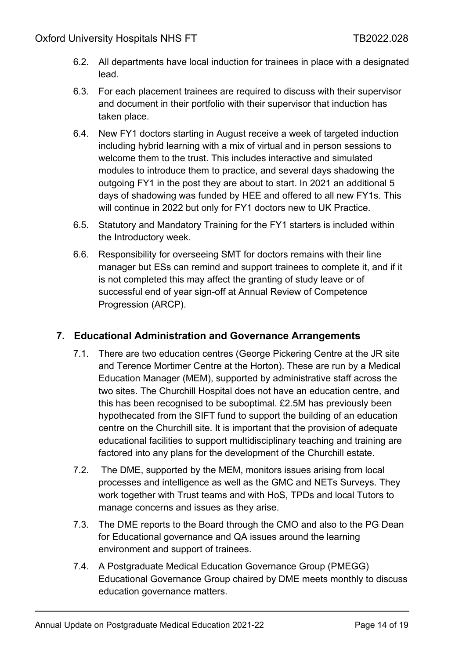- 6.2. All departments have local induction for trainees in place with a designated lead.
- 6.3. For each placement trainees are required to discuss with their supervisor and document in their portfolio with their supervisor that induction has taken place.
- 6.4. New FY1 doctors starting in August receive a week of targeted induction including hybrid learning with a mix of virtual and in person sessions to welcome them to the trust. This includes interactive and simulated modules to introduce them to practice, and several days shadowing the outgoing FY1 in the post they are about to start. In 2021 an additional 5 days of shadowing was funded by HEE and offered to all new FY1s. This will continue in 2022 but only for FY1 doctors new to UK Practice.
- 6.5. Statutory and Mandatory Training for the FY1 starters is included within the Introductory week.
- 6.6. Responsibility for overseeing SMT for doctors remains with their line manager but ESs can remind and support trainees to complete it, and if it is not completed this may affect the granting of study leave or of successful end of year sign-off at Annual Review of Competence Progression (ARCP).

## <span id="page-13-0"></span>**7. Educational Administration and Governance Arrangements**

- 7.1. There are two education centres (George Pickering Centre at the JR site and Terence Mortimer Centre at the Horton). These are run by a Medical Education Manager (MEM), supported by administrative staff across the two sites. The Churchill Hospital does not have an education centre, and this has been recognised to be suboptimal. £2.5M has previously been hypothecated from the SIFT fund to support the building of an education centre on the Churchill site. It is important that the provision of adequate educational facilities to support multidisciplinary teaching and training are factored into any plans for the development of the Churchill estate.
- 7.2. The DME, supported by the MEM, monitors issues arising from local processes and intelligence as well as the GMC and NETs Surveys. They work together with Trust teams and with HoS, TPDs and local Tutors to manage concerns and issues as they arise.
- 7.3. The DME reports to the Board through the CMO and also to the PG Dean for Educational governance and QA issues around the learning environment and support of trainees.
- 7.4. A Postgraduate Medical Education Governance Group (PMEGG) Educational Governance Group chaired by DME meets monthly to discuss education governance matters.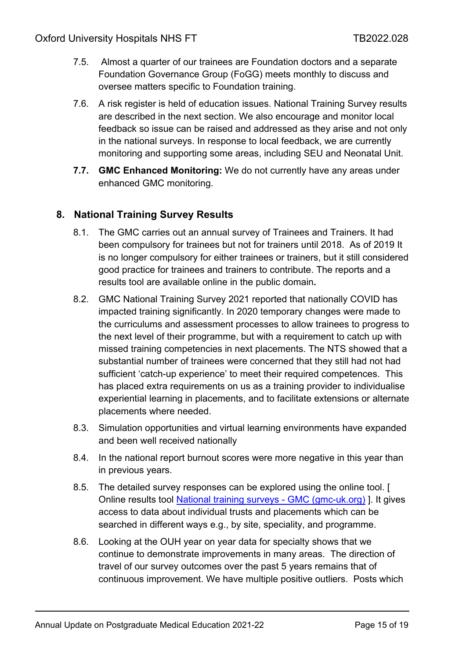- 7.5. Almost a quarter of our trainees are Foundation doctors and a separate Foundation Governance Group (FoGG) meets monthly to discuss and oversee matters specific to Foundation training.
- 7.6. A risk register is held of education issues. National Training Survey results are described in the next section. We also encourage and monitor local feedback so issue can be raised and addressed as they arise and not only in the national surveys. In response to local feedback, we are currently monitoring and supporting some areas, including SEU and Neonatal Unit.
- **7.7. GMC Enhanced Monitoring:** We do not currently have any areas under enhanced GMC monitoring.

## <span id="page-14-0"></span>**8. National Training Survey Results**

- 8.1. The GMC carries out an annual survey of Trainees and Trainers. It had been compulsory for trainees but not for trainers until 2018. As of 2019 It is no longer compulsory for either trainees or trainers, but it still considered good practice for trainees and trainers to contribute. The reports and a results tool are available online in the public domain**.**
- 8.2. GMC National Training Survey 2021 reported that nationally COVID has impacted training significantly. In 2020 temporary changes were made to the curriculums and assessment processes to allow trainees to progress to the next level of their programme, but with a requirement to catch up with missed training competencies in next placements. The NTS showed that a substantial number of trainees were concerned that they still had not had sufficient 'catch-up experience' to meet their required competences. This has placed extra requirements on us as a training provider to individualise experiential learning in placements, and to facilitate extensions or alternate placements where needed.
- 8.3. Simulation opportunities and virtual learning environments have expanded and been well received nationally
- 8.4. In the national report burnout scores were more negative in this year than in previous years.
- 8.5. The detailed survey responses can be explored using the online tool. [ Online results tool [National training surveys -](https://www.gmc-uk.org/education/how-we-quality-assure/national-training-surveys) GMC (gmc-uk.org) ]. It gives access to data about individual trusts and placements which can be searched in different ways e.g., by site, speciality, and programme.
- 8.6. Looking at the OUH year on year data for specialty shows that we continue to demonstrate improvements in many areas. The direction of travel of our survey outcomes over the past 5 years remains that of continuous improvement. We have multiple positive outliers. Posts which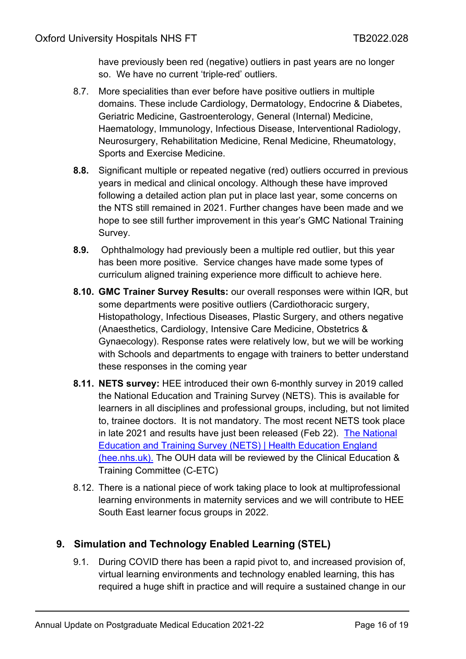have previously been red (negative) outliers in past years are no longer so. We have no current 'triple-red' outliers.

- 8.7. More specialities than ever before have positive outliers in multiple domains. These include Cardiology, Dermatology, Endocrine & Diabetes, Geriatric Medicine, Gastroenterology, General (Internal) Medicine, Haematology, Immunology, Infectious Disease, Interventional Radiology, Neurosurgery, Rehabilitation Medicine, Renal Medicine, Rheumatology, Sports and Exercise Medicine.
- **8.8.** Significant multiple or repeated negative (red) outliers occurred in previous years in medical and clinical oncology. Although these have improved following a detailed action plan put in place last year, some concerns on the NTS still remained in 2021. Further changes have been made and we hope to see still further improvement in this year's GMC National Training Survey.
- **8.9.** Ophthalmology had previously been a multiple red outlier, but this year has been more positive. Service changes have made some types of curriculum aligned training experience more difficult to achieve here.
- **8.10. GMC Trainer Survey Results:** our overall responses were within IQR, but some departments were positive outliers (Cardiothoracic surgery, Histopathology, Infectious Diseases, Plastic Surgery, and others negative (Anaesthetics, Cardiology, Intensive Care Medicine, Obstetrics & Gynaecology). Response rates were relatively low, but we will be working with Schools and departments to engage with trainers to better understand these responses in the coming year
- **8.11. NETS survey:** HEE introduced their own 6-monthly survey in 2019 called the National Education and Training Survey (NETS). This is available for learners in all disciplines and professional groups, including, but not limited to, trainee doctors. It is not mandatory. The most recent NETS took place in late 2021 and results have just been released (Feb 22). [The National](https://www.hee.nhs.uk/our-work/quality/national-education-training-survey)  [Education and Training Survey \(NETS\) | Health Education England](https://www.hee.nhs.uk/our-work/quality/national-education-training-survey)  [\(hee.nhs.uk\).](https://www.hee.nhs.uk/our-work/quality/national-education-training-survey) The OUH data will be reviewed by the Clinical Education & Training Committee (C-ETC)
- 8.12. There is a national piece of work taking place to look at multiprofessional learning environments in maternity services and we will contribute to HEE South East learner focus groups in 2022.

## <span id="page-15-0"></span>**9. Simulation and Technology Enabled Learning (STEL)**

9.1. During COVID there has been a rapid pivot to, and increased provision of, virtual learning environments and technology enabled learning, this has required a huge shift in practice and will require a sustained change in our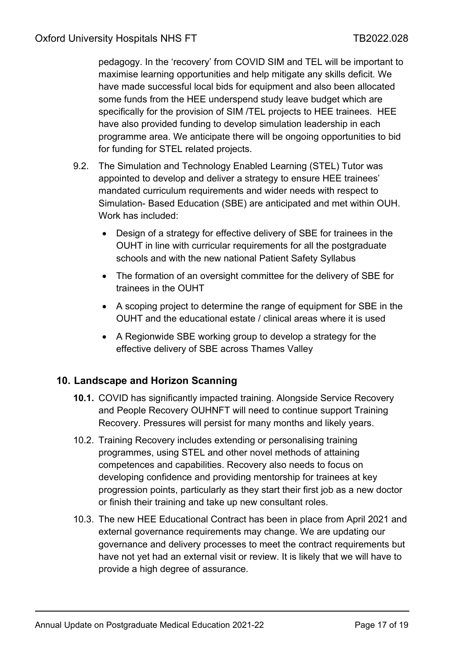pedagogy. In the 'recovery' from COVID SIM and TEL will be important to maximise learning opportunities and help mitigate any skills deficit. We have made successful local bids for equipment and also been allocated some funds from the HEE underspend study leave budget which are specifically for the provision of SIM /TEL projects to HEE trainees. HEE have also provided funding to develop simulation leadership in each programme area. We anticipate there will be ongoing opportunities to bid for funding for STEL related projects.

- 9.2. The Simulation and Technology Enabled Learning (STEL) Tutor was appointed to develop and deliver a strategy to ensure HEE trainees' mandated curriculum requirements and wider needs with respect to Simulation- Based Education (SBE) are anticipated and met within OUH. Work has included:
	- Design of a strategy for effective delivery of SBE for trainees in the OUHT in line with curricular requirements for all the postgraduate schools and with the new national Patient Safety Syllabus
	- The formation of an oversight committee for the delivery of SBE for trainees in the OUHT
	- A scoping project to determine the range of equipment for SBE in the OUHT and the educational estate / clinical areas where it is used
	- A Regionwide SBE working group to develop a strategy for the effective delivery of SBE across Thames Valley

## <span id="page-16-0"></span>**10. Landscape and Horizon Scanning**

- **10.1.** COVID has significantly impacted training. Alongside Service Recovery and People Recovery OUHNFT will need to continue support Training Recovery. Pressures will persist for many months and likely years.
- 10.2. Training Recovery includes extending or personalising training programmes, using STEL and other novel methods of attaining competences and capabilities. Recovery also needs to focus on developing confidence and providing mentorship for trainees at key progression points, particularly as they start their first job as a new doctor or finish their training and take up new consultant roles.
- 10.3. The new HEE Educational Contract has been in place from April 2021 and external governance requirements may change. We are updating our governance and delivery processes to meet the contract requirements but have not yet had an external visit or review. It is likely that we will have to provide a high degree of assurance.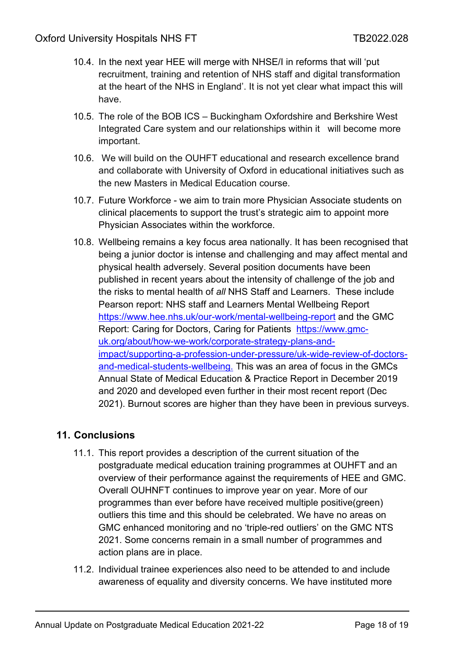- 10.4. In the next year HEE will merge with NHSE/I in reforms that will 'put recruitment, training and retention of NHS staff and digital transformation at the heart of the NHS in England'. It is not yet clear what impact this will have.
- 10.5. The role of the BOB ICS Buckingham Oxfordshire and Berkshire West Integrated Care system and our relationships within it will become more important.
- 10.6. We will build on the OUHFT educational and research excellence brand and collaborate with University of Oxford in educational initiatives such as the new Masters in Medical Education course.
- 10.7. Future Workforce we aim to train more Physician Associate students on clinical placements to support the trust's strategic aim to appoint more Physician Associates within the workforce.
- 10.8. Wellbeing remains a key focus area nationally. It has been recognised that being a junior doctor is intense and challenging and may affect mental and physical health adversely. Several position documents have been published in recent years about the intensity of challenge of the job and the risks to mental health of *all* NHS Staff and Learners. These include Pearson report: NHS staff and Learners Mental Wellbeing Report <https://www.hee.nhs.uk/our-work/mental-wellbeing-report> and the GMC Report: Caring for Doctors, Caring for Patients [https://www.gmc](https://www.gmc-uk.org/about/how-we-work/corporate-strategy-plans-and-impact/supporting-a-profession-under-pressure/uk-wide-review-of-doctors-and-medical-students-wellbeing.)[uk.org/about/how-we-work/corporate-strategy-plans-and](https://www.gmc-uk.org/about/how-we-work/corporate-strategy-plans-and-impact/supporting-a-profession-under-pressure/uk-wide-review-of-doctors-and-medical-students-wellbeing.)[impact/supporting-a-profession-under-pressure/uk-wide-review-of-doctors](https://www.gmc-uk.org/about/how-we-work/corporate-strategy-plans-and-impact/supporting-a-profession-under-pressure/uk-wide-review-of-doctors-and-medical-students-wellbeing.)[and-medical-students-wellbeing.](https://www.gmc-uk.org/about/how-we-work/corporate-strategy-plans-and-impact/supporting-a-profession-under-pressure/uk-wide-review-of-doctors-and-medical-students-wellbeing.) This was an area of focus in the GMCs Annual State of Medical Education & Practice Report in December 2019 and 2020 and developed even further in their most recent report (Dec 2021). Burnout scores are higher than they have been in previous surveys.

## <span id="page-17-0"></span>**11. Conclusions**

- 11.1. This report provides a description of the current situation of the postgraduate medical education training programmes at OUHFT and an overview of their performance against the requirements of HEE and GMC. Overall OUHNFT continues to improve year on year. More of our programmes than ever before have received multiple positive(green) outliers this time and this should be celebrated. We have no areas on GMC enhanced monitoring and no 'triple-red outliers' on the GMC NTS 2021. Some concerns remain in a small number of programmes and action plans are in place.
- 11.2. Individual trainee experiences also need to be attended to and include awareness of equality and diversity concerns. We have instituted more